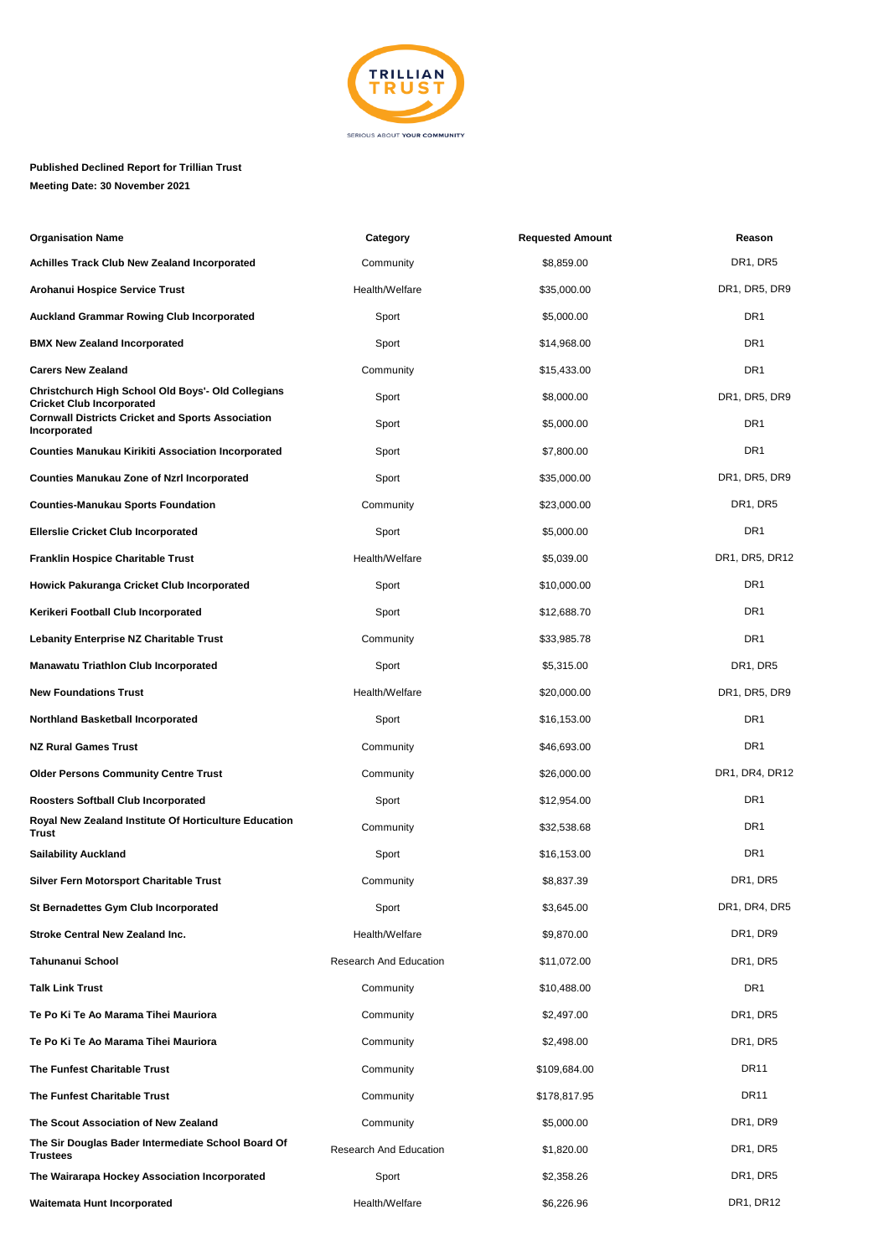

## **Published Declined Report for Trillian Trust Meeting Date: 30 November 2021**

| <b>Organisation Name</b>                                                               | Category               | <b>Requested Amount</b> | Reason                            |
|----------------------------------------------------------------------------------------|------------------------|-------------------------|-----------------------------------|
| <b>Achilles Track Club New Zealand Incorporated</b>                                    | Community              | \$8,859.00              | DR <sub>1</sub> , DR <sub>5</sub> |
| Arohanui Hospice Service Trust                                                         | Health/Welfare         | \$35,000.00             | DR1, DR5, DR9                     |
| <b>Auckland Grammar Rowing Club Incorporated</b>                                       | Sport                  | \$5,000.00              | DR <sub>1</sub>                   |
| <b>BMX New Zealand Incorporated</b>                                                    | Sport                  | \$14,968.00             | DR <sub>1</sub>                   |
| <b>Carers New Zealand</b>                                                              | Community              | \$15,433.00             | DR <sub>1</sub>                   |
| Christchurch High School Old Boys'- Old Collegians<br><b>Cricket Club Incorporated</b> | Sport                  | \$8,000.00              | DR1, DR5, DR9                     |
| <b>Cornwall Districts Cricket and Sports Association</b><br>Incorporated               | Sport                  | \$5,000.00              | DR <sub>1</sub>                   |
| <b>Counties Manukau Kirikiti Association Incorporated</b>                              | Sport                  | \$7,800.00              | DR <sub>1</sub>                   |
| <b>Counties Manukau Zone of Nzrl Incorporated</b>                                      | Sport                  | \$35,000.00             | DR1, DR5, DR9                     |
| <b>Counties-Manukau Sports Foundation</b>                                              | Community              | \$23,000.00             | DR <sub>1</sub> , DR <sub>5</sub> |
| <b>Ellerslie Cricket Club Incorporated</b>                                             | Sport                  | \$5,000.00              | DR <sub>1</sub>                   |
| <b>Franklin Hospice Charitable Trust</b>                                               | Health/Welfare         | \$5,039.00              | DR1, DR5, DR12                    |
| Howick Pakuranga Cricket Club Incorporated                                             | Sport                  | \$10,000.00             | DR <sub>1</sub>                   |
| Kerikeri Football Club Incorporated                                                    | Sport                  | \$12,688.70             | DR <sub>1</sub>                   |
| <b>Lebanity Enterprise NZ Charitable Trust</b>                                         | Community              | \$33,985.78             | DR <sub>1</sub>                   |
| <b>Manawatu Triathlon Club Incorporated</b>                                            | Sport                  | \$5,315.00              | DR <sub>1</sub> , DR <sub>5</sub> |
| <b>New Foundations Trust</b>                                                           | Health/Welfare         | \$20,000.00             | DR1, DR5, DR9                     |
| <b>Northland Basketball Incorporated</b>                                               | Sport                  | \$16,153.00             | DR <sub>1</sub>                   |
| <b>NZ Rural Games Trust</b>                                                            | Community              | \$46,693.00             | DR <sub>1</sub>                   |
| <b>Older Persons Community Centre Trust</b>                                            | Community              | \$26,000.00             | DR1, DR4, DR12                    |
| <b>Roosters Softball Club Incorporated</b>                                             | Sport                  | \$12,954.00             | DR <sub>1</sub>                   |
| Royal New Zealand Institute Of Horticulture Education<br><b>Trust</b>                  | Community              | \$32,538.68             | DR <sub>1</sub>                   |
| <b>Sailability Auckland</b>                                                            | Sport                  | \$16,153.00             | DR <sub>1</sub>                   |
| <b>Silver Fern Motorsport Charitable Trust</b>                                         | Community              | \$8,837.39              | DR <sub>1</sub> , DR <sub>5</sub> |
| <b>St Bernadettes Gym Club Incorporated</b>                                            | Sport                  | \$3,645.00              | DR1, DR4, DR5                     |
| <b>Stroke Central New Zealand Inc.</b>                                                 | Health/Welfare         | \$9,870.00              | DR1, DR9                          |
| <b>Tahunanui School</b>                                                                | Research And Education | \$11,072.00             | DR <sub>1</sub> , DR <sub>5</sub> |
| <b>Talk Link Trust</b>                                                                 | Community              | \$10,488.00             | DR <sub>1</sub>                   |
| Te Po Ki Te Ao Marama Tihei Mauriora                                                   | Community              | \$2,497.00              | DR1, DR5                          |
| Te Po Ki Te Ao Marama Tihei Mauriora                                                   | Community              | \$2,498.00              | DR1, DR5                          |
| The Funfest Charitable Trust                                                           | Community              | \$109,684.00            | <b>DR11</b>                       |
| The Funfest Charitable Trust                                                           | Community              | \$178,817.95            | <b>DR11</b>                       |
| The Scout Association of New Zealand                                                   | Community              | \$5,000.00              | DR1, DR9                          |
| The Sir Douglas Bader Intermediate School Board Of<br><b>Trustees</b>                  | Research And Education | \$1,820.00              | DR <sub>1</sub> , DR <sub>5</sub> |
| The Wairarapa Hockey Association Incorporated                                          | Sport                  | \$2,358.26              | DR <sub>1</sub> , DR <sub>5</sub> |
| Waitemata Hunt Incorporated                                                            | Health/Welfare         | \$6,226.96              | DR1, DR12                         |